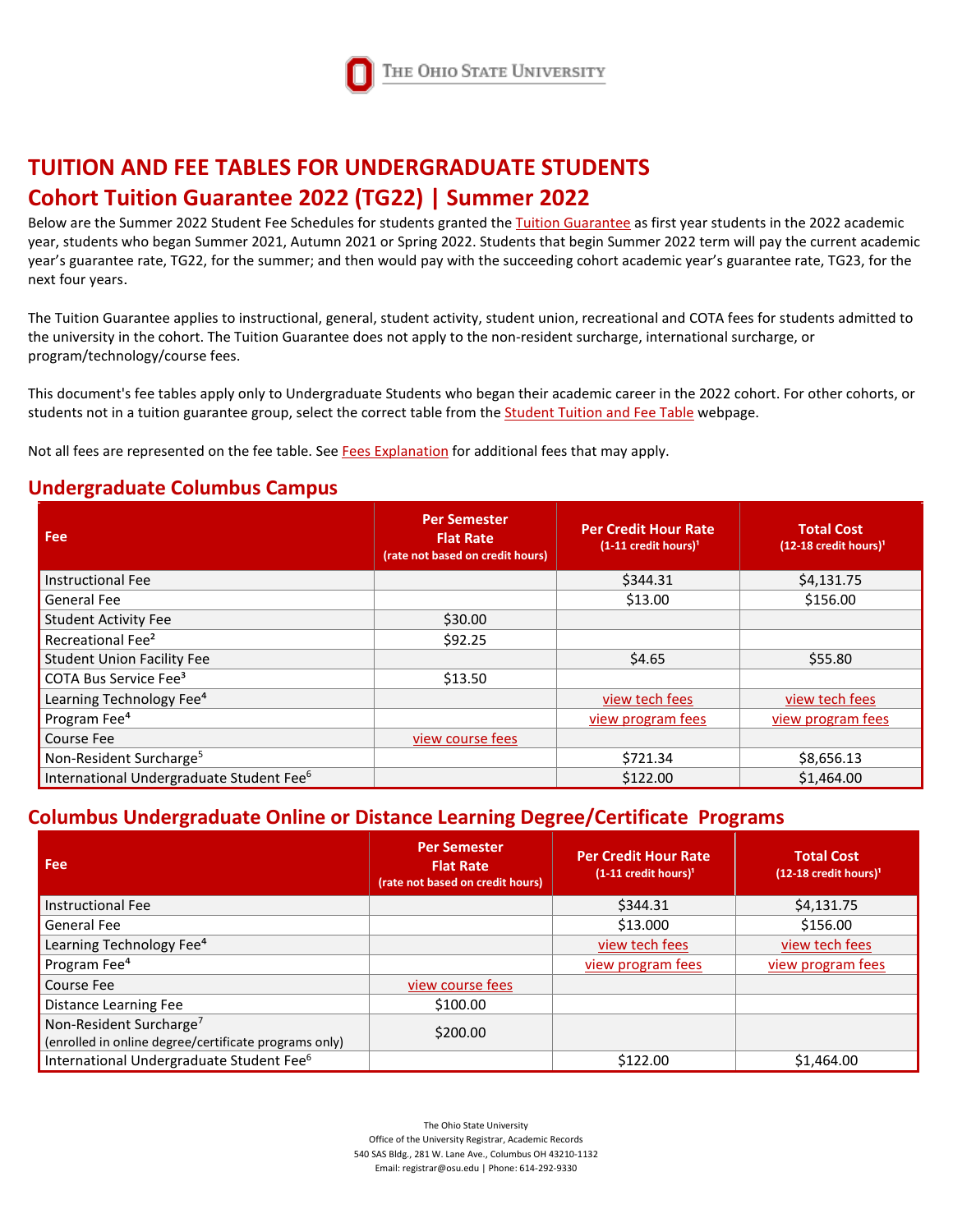

# **TUITION AND FEE TABLES FOR UNDERGRADUATE STUDENTS Cohort Tuition Guarantee 2022 (TG22) | Summer 2022**

Below are the Summer 2022 Student Fee Schedules for students granted th[e Tuition Guarantee](https://registrar.osu.edu/tuitionguarantee/index.html) as first year students in the 2022 academic year, students who began Summer 2021, Autumn 2021 or Spring 2022. Students that begin Summer 2022 term will pay the current academic year's guarantee rate, TG22, for the summer; and then would pay with the succeeding cohort academic year's guarantee rate, TG23, for the next four years.

The Tuition Guarantee applies to instructional, general, student activity, student union, recreational and COTA fees for students admitted to the university in the cohort. The Tuition Guarantee does not apply to the non-resident surcharge, international surcharge, or program/technology/course fees.

This document's fee tables apply only to Undergraduate Students who began their academic career in the 2022 cohort. For other cohorts, or students not in a tuition guarantee group, select the correct table from th[e Student Tuition and Fee Table](https://registrar.osu.edu/FeeTables/MainFeeTables.asp) webpage.

Not all fees are represented on the fee table. See [Fees Explanation](https://registrar.osu.edu/policies/feesExplanation.asp) for additional fees that may apply.

#### **Undergraduate Columbus Campus**

| <b>Fee</b>                                           | <b>Per Semester</b><br><b>Flat Rate</b><br>(rate not based on credit hours) | <b>Per Credit Hour Rate</b><br>$(1-11 \text{ credit hours})$ <sup>1</sup> | <b>Total Cost</b><br>$(12-18 \text{ credit hours})$ <sup>1</sup> |
|------------------------------------------------------|-----------------------------------------------------------------------------|---------------------------------------------------------------------------|------------------------------------------------------------------|
| <b>Instructional Fee</b>                             |                                                                             | \$344.31                                                                  | \$4,131.75                                                       |
| General Fee                                          |                                                                             | \$13.00                                                                   | \$156.00                                                         |
| <b>Student Activity Fee</b>                          | \$30.00                                                                     |                                                                           |                                                                  |
| Recreational Fee <sup>2</sup>                        | \$92.25                                                                     |                                                                           |                                                                  |
| <b>Student Union Facility Fee</b>                    |                                                                             | \$4.65                                                                    | \$55.80                                                          |
| COTA Bus Service Fee <sup>3</sup>                    | \$13.50                                                                     |                                                                           |                                                                  |
| Learning Technology Fee <sup>4</sup>                 |                                                                             | view tech fees                                                            | view tech fees                                                   |
| Program Fee <sup>4</sup>                             |                                                                             | view program fees                                                         | view program fees                                                |
| Course Fee                                           | view course fees                                                            |                                                                           |                                                                  |
| Non-Resident Surcharge <sup>5</sup>                  |                                                                             | \$721.34                                                                  | \$8,656.13                                                       |
| International Undergraduate Student Fee <sup>6</sup> |                                                                             | \$122.00                                                                  | \$1,464.00                                                       |

### **Columbus Undergraduate Online or Distance Learning Degree/Certificate Programs**

| Fee                                                                                          | <b>Per Semester</b><br><b>Flat Rate</b><br>(rate not based on credit hours) | <b>Per Credit Hour Rate</b><br>$(1-11 \text{ credit hours})$ <sup>1</sup> | <b>Total Cost</b><br>$(12-18 \text{ credit hours})$ <sup>1</sup> |
|----------------------------------------------------------------------------------------------|-----------------------------------------------------------------------------|---------------------------------------------------------------------------|------------------------------------------------------------------|
| <b>Instructional Fee</b>                                                                     |                                                                             | \$344.31                                                                  | \$4,131.75                                                       |
| <b>General Fee</b>                                                                           |                                                                             | \$13.000                                                                  | \$156.00                                                         |
| Learning Technology Fee <sup>4</sup>                                                         |                                                                             | view tech fees                                                            | view tech fees                                                   |
| Program Fee <sup>4</sup>                                                                     |                                                                             | view program fees                                                         | view program fees                                                |
| <b>Course Fee</b>                                                                            | view course fees                                                            |                                                                           |                                                                  |
| Distance Learning Fee                                                                        | \$100.00                                                                    |                                                                           |                                                                  |
| Non-Resident Surcharge <sup>7</sup><br>(enrolled in online degree/certificate programs only) | \$200.00                                                                    |                                                                           |                                                                  |
| International Undergraduate Student Fee <sup>6</sup>                                         |                                                                             | \$122.00                                                                  | \$1,464.00                                                       |

The Ohio State University Office of the University Registrar, Academic Records 540 SAS Bldg., 281 W. Lane Ave., Columbus OH 43210-1132 Email: registrar@osu.edu | Phone: 614-292-9330